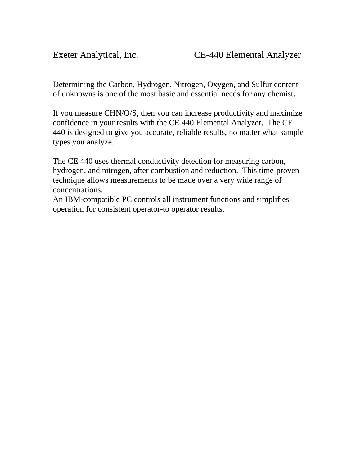Determining the Carbon, Hydrogen, Nitrogen, Oxygen, and Sulfur content of unknowns is one of the most basic and essential needs for any chemist.

If you measure CHN/O/S, then you can increase productivity and maximize confidence in your results with the CE 440 Elemental Analyzer. The CE 440 is designed to give you accurate, reliable results, no matter what sample types you analyze.

The CE 440 uses thermal conductivity detection for measuring carbon, hydrogen, and nitrogen, after combustion and reduction. This time-proven technique allows measurements to be made over a very wide range of concentrations.

An IBM-compatible PC controls all instrument functions and simplifies operation for consistent operator-to operator results.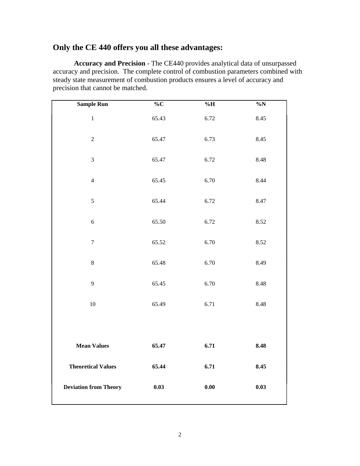## **Only the CE 440 offers you all these advantages:**

**Accuracy and Precision** - The CE440 provides analytical data of unsurpassed accuracy and precision. The complete control of combustion parameters combined with steady state measurement of combustion products ensures a level of accuracy and precision that cannot be matched.

| <b>Sample Run</b>            | $\overline{\ }$ %C | $\%H$ | $\%N$ |
|------------------------------|--------------------|-------|-------|
| $\mathbf{1}$                 | 65.43              | 6.72  | 8.45  |
| $\sqrt{2}$                   | 65.47              | 6.73  | 8.45  |
| $\mathfrak{Z}$               | 65.47              | 6.72  | 8.48  |
| $\overline{4}$               | 65.45              | 6.70  | 8.44  |
| 5                            | 65.44              | 6.72  | 8.47  |
| 6                            | 65.50              | 6.72  | 8.52  |
| $\tau$                       | 65.52              | 6.70  | 8.52  |
| $8\,$                        | 65.48              | 6.70  | 8.49  |
| 9                            | 65.45              | 6.70  | 8.48  |
| 10                           | 65.49              | 6.71  | 8.48  |
|                              |                    |       |       |
| <b>Mean Values</b>           | 65.47              | 6.71  | 8.48  |
| <b>Theoretical Values</b>    | 65.44              | 6.71  | 8.45  |
| <b>Deviation from Theory</b> | 0.03               | 0.00  | 0.03  |
|                              |                    |       |       |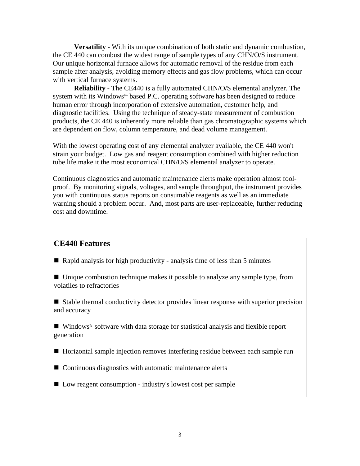**Versatility** - With its unique combination of both static and dynamic combustion, the CE 440 can combust the widest range of sample types of any CHN/O/S instrument. Our unique horizontal furnace allows for automatic removal of the residue from each sample after analysis, avoiding memory effects and gas flow problems, which can occur with vertical furnace systems.

**Reliability** - The CE440 is a fully automated CHN/O/S elemental analyzer. The system with its Windows<sup>tm</sup> based P.C. operating software has been designed to reduce human error through incorporation of extensive automation, customer help, and diagnostic facilities. Using the technique of steady-state measurement of combustion products, the CE 440 is inherently more reliable than gas chromatographic systems which are dependent on flow, column temperature, and dead volume management.

With the lowest operating cost of any elemental analyzer available, the CE 440 won't strain your budget. Low gas and reagent consumption combined with higher reduction tube life make it the most economical CHN/O/S elemental analyzer to operate.

Continuous diagnostics and automatic maintenance alerts make operation almost foolproof. By monitoring signals, voltages, and sample throughput, the instrument provides you with continuous status reports on consumable reagents as well as an immediate warning should a problem occur. And, most parts are user-replaceable, further reducing cost and downtime.

# **CE440 Features**

Rapid analysis for high productivity - analysis time of less than 5 minutes

■ Unique combustion technique makes it possible to analyze any sample type, from volatiles to refractories

 $\blacksquare$  Stable thermal conductivity detector provides linear response with superior precision and accuracy

 $\blacksquare$  Windows<sup>R</sup> software with data storage for statistical analysis and flexible report generation

■ Horizontal sample injection removes interfering residue between each sample run

■ Continuous diagnostics with automatic maintenance alerts

■ Low reagent consumption - industry's lowest cost per sample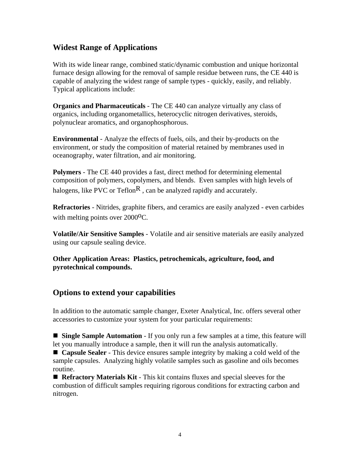# **Widest Range of Applications**

With its wide linear range, combined static/dynamic combustion and unique horizontal furnace design allowing for the removal of sample residue between runs, the CE 440 is capable of analyzing the widest range of sample types - quickly, easily, and reliably. Typical applications include:

**Organics and Pharmaceuticals** - The CE 440 can analyze virtually any class of organics, including organometallics, heterocyclic nitrogen derivatives, steroids, polynuclear aromatics, and organophosphorous.

**Environmental** - Analyze the effects of fuels, oils, and their by-products on the environment, or study the composition of material retained by membranes used in oceanography, water filtration, and air monitoring.

**Polymers** - The CE 440 provides a fast, direct method for determining elemental composition of polymers, copolymers, and blends. Even samples with high levels of halogens, like PVC or Teflon<sup>R</sup>, can be analyzed rapidly and accurately.

**Refractories** - Nitrides, graphite fibers, and ceramics are easily analyzed - even carbides with melting points over 2000<sup>o</sup>C.

**Volatile/Air Sensitive Samples** - Volatile and air sensitive materials are easily analyzed using our capsule sealing device.

**Other Application Areas: Plastics, petrochemicals, agriculture, food, and pyrotechnical compounds.**

## **Options to extend your capabilities**

In addition to the automatic sample changer, Exeter Analytical, Inc. offers several other accessories to customize your system for your particular requirements:

**Single Sample Automation** - If you only run a few samples at a time, this feature will let you manually introduce a sample, then it will run the analysis automatically.

■ **Capsule Sealer** - This device ensures sample integrity by making a cold weld of the sample capsules. Analyzing highly volatile samples such as gasoline and oils becomes routine.

 **Refractory Materials Kit** - This kit contains fluxes and special sleeves for the combustion of difficult samples requiring rigorous conditions for extracting carbon and nitrogen.